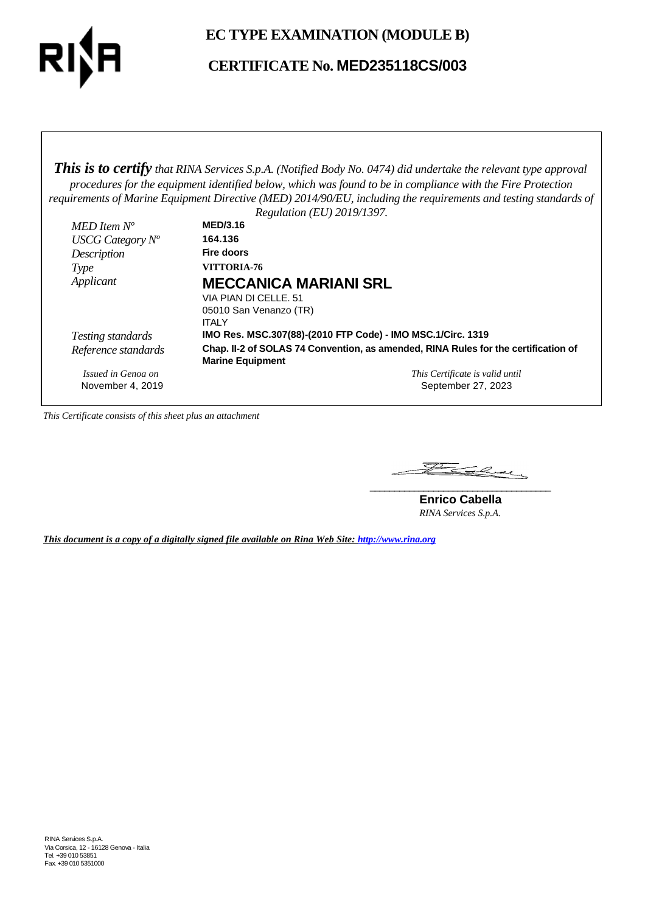

## **EC TYPE EXAMINATION (MODULE B)**

# **CERTIFICATE No. MED235118CS/003**

*This is to certify that RINA Services S.p.A. (Notified Body No. 0474) did undertake the relevant type approval procedures for the equipment identified below, which was found to be in compliance with the Fire Protection requirements of Marine Equipment Directive (MED) 2014/90/EU, including the requirements and testing standards of*

|                     | Regulation (EU) 2019/1397.                                                                                    |
|---------------------|---------------------------------------------------------------------------------------------------------------|
| MED Item $N^o$      | <b>MED/3.16</b>                                                                                               |
| USCG Category $N^o$ | 164.136                                                                                                       |
| Description         | Fire doors                                                                                                    |
| Type                | VITTORIA-76                                                                                                   |
| Applicant           | <b>MECCANICA MARIANI SRL</b>                                                                                  |
|                     | VIA PIAN DI CELLE, 51                                                                                         |
|                     | 05010 San Venanzo (TR)                                                                                        |
|                     | <b>ITALY</b>                                                                                                  |
| Testing standards   | IMO Res. MSC.307(88)-(2010 FTP Code) - IMO MSC.1/Circ. 1319                                                   |
| Reference standards | Chap. II-2 of SOLAS 74 Convention, as amended, RINA Rules for the certification of<br><b>Marine Equipment</b> |
| Issued in Genoa on  | This Certificate is valid until                                                                               |
| November 4, 2019    | September 27, 2023                                                                                            |

*This Certificate consists of this sheet plus an attachment*

Falcey **\_\_\_\_\_\_\_\_\_\_\_\_\_\_\_\_\_\_\_\_\_\_\_\_\_\_\_\_\_\_\_\_\_\_\_\_\_**

**Enrico Cabella** *RINA Services S.p.A.*

*This document is a copy of a digitally signed file available on Rina Web Site: http://www.rina.org*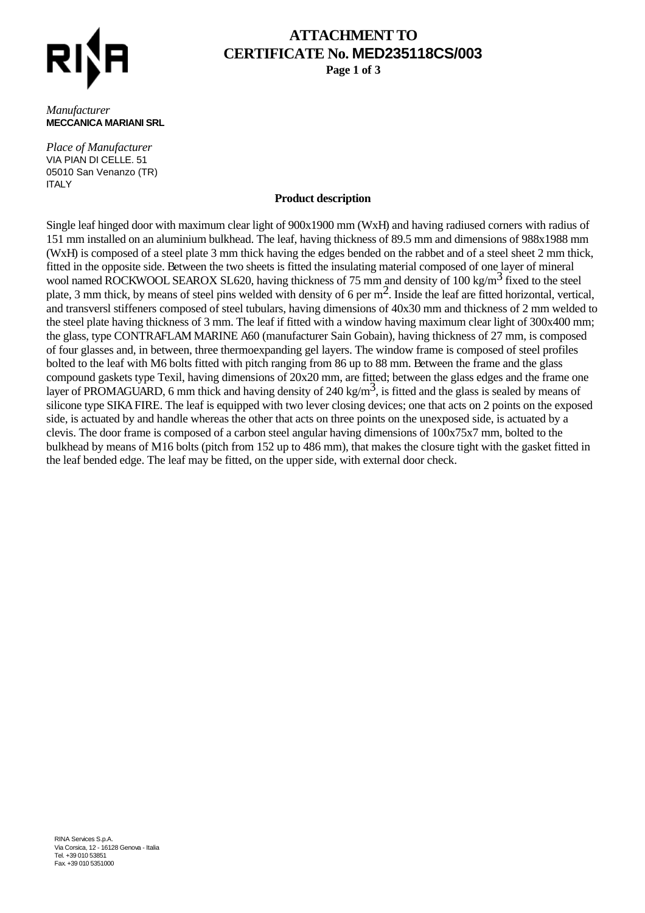

# **ATTACHMENT TO CERTIFICATE No. MED235118CS/003**

**Page 1 of 3**

#### *Manufacturer* **MECCANICA MARIANI SRL**

*Place of Manufacturer* VIA PIAN DI CELLE. 51 05010 San Venanzo (TR) **ITALY** 

### **Product description**

Single leaf hinged door with maximum clear light of 900x1900 mm (WxH) and having radiused corners with radius of 151 mm installed on an aluminium bulkhead. The leaf, having thickness of 89.5 mm and dimensions of 988x1988 mm (WxH) is composed of a steel plate 3 mm thick having the edges bended on the rabbet and of a steel sheet 2 mm thick, fitted in the opposite side. Between the two sheets is fitted the insulating material composed of one layer of mineral wool named ROCKWOOL SEAROX SL620, having thickness of 75 mm and density of 100 kg/m<sup>3</sup> fixed to the steel plate, 3 mm thick, by means of steel pins welded with density of 6 per  $m^2$ . Inside the leaf are fitted horizontal, vertical, and transversl stiffeners composed of steel tubulars, having dimensions of 40x30 mm and thickness of 2 mm welded to the steel plate having thickness of 3 mm. The leaf if fitted with a window having maximum clear light of 300x400 mm; the glass, type CONTRAFLAM MARINE A60 (manufacturer Sain Gobain), having thickness of 27 mm, is composed of four glasses and, in between, three thermoexpanding gel layers. The window frame is composed of steel profiles bolted to the leaf with M6 bolts fitted with pitch ranging from 86 up to 88 mm. Between the frame and the glass compound gaskets type Texil, having dimensions of 20x20 mm, are fitted; between the glass edges and the frame one layer of PROMAGUARD, 6 mm thick and having density of 240 kg/m<sup>3</sup>, is fitted and the glass is sealed by means of silicone type SIKA FIRE. The leaf is equipped with two lever closing devices; one that acts on 2 points on the exposed side, is actuated by and handle whereas the other that acts on three points on the unexposed side, is actuated by a clevis. The door frame is composed of a carbon steel angular having dimensions of 100x75x7 mm, bolted to the bulkhead by means of M16 bolts (pitch from 152 up to 486 mm), that makes the closure tight with the gasket fitted in the leaf bended edge. The leaf may be fitted, on the upper side, with external door check.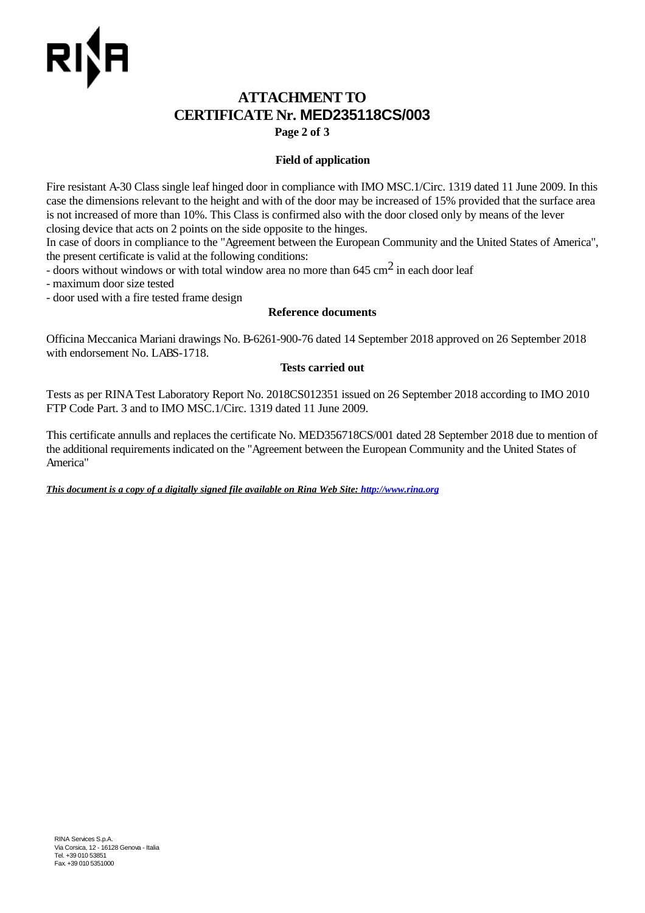# **ATTACHMENT TO CERTIFICATE Nr. MED235118CS/003**

**Page 2 of 3**

## **Field of application**

Fire resistant A-30 Class single leaf hinged door in compliance with IMO MSC.1/Circ. 1319 dated 11 June 2009. In this case the dimensions relevant to the height and with of the door may be increased of 15% provided that the surface area is not increased of more than 10%. This Class is confirmed also with the door closed only by means of the lever closing device that acts on 2 points on the side opposite to the hinges.

In case of doors in compliance to the "Agreement between the European Community and the United States of America", the present certificate is valid at the following conditions:

- doors without windows or with total window area no more than  $645 \text{ cm}^2$  in each door leaf

- maximum door size tested

- door used with a fire tested frame design

## **Reference documents**

Officina Meccanica Mariani drawings No. B-6261-900-76 dated 14 September 2018 approved on 26 September 2018 with endorsement No. LABS-1718.

### **Tests carried out**

Tests as per RINA Test Laboratory Report No. 2018CS012351 issued on 26 September 2018 according to IMO 2010 FTP Code Part. 3 and to IMO MSC.1/Circ. 1319 dated 11 June 2009.

This certificate annulls and replaces the certificate No. MED356718CS/001 dated 28 September 2018 due to mention of the additional requirements indicated on the "Agreement between the European Community and the United States of America"

*This document is a copy of a digitally signed file available on Rina Web Site: http://www.rina.org*